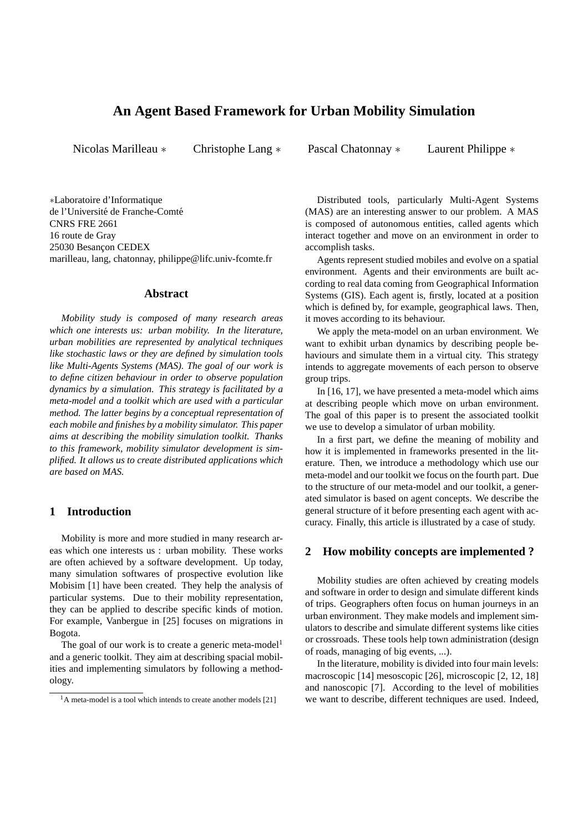# **An Agent Based Framework for Urban Mobility Simulation**

Nicolas Marilleau ∗ Christophe Lang ∗ Pascal Chatonnay ∗ Laurent Philippe ∗

∗Laboratoire d'Informatique de l'Université de Franche-Comté CNRS FRE 2661 16 route de Gray 25030 Besancon CEDEX marilleau, lang, chatonnay, philippe@lifc.univ-fcomte.fr

#### **Abstract**

*Mobility study is composed of many research areas which one interests us: urban mobility. In the literature, urban mobilities are represented by analytical techniques like stochastic laws or they are defined by simulation tools like Multi-Agents Systems (MAS). The goal of our work is to define citizen behaviour in order to observe population dynamics by a simulation. This strategy is facilitated by a meta-model and a toolkit which are used with a particular method. The latter begins by a conceptual representation of each mobile and finishes by a mobility simulator. This paper aims at describing the mobility simulation toolkit. Thanks to this framework, mobility simulator development is simplified. It allows us to create distributed applications which are based on MAS.*

## **1 Introduction**

Mobility is more and more studied in many research areas which one interests us : urban mobility. These works are often achieved by a software development. Up today, many simulation softwares of prospective evolution like Mobisim [1] have been created. They help the analysis of particular systems. Due to their mobility representation, they can be applied to describe specific kinds of motion. For example, Vanbergue in [25] focuses on migrations in Bogota.

The goal of our work is to create a generic meta-model<sup>1</sup> and a generic toolkit. They aim at describing spacial mobilities and implementing simulators by following a methodology.

Distributed tools, particularly Multi-Agent Systems (MAS) are an interesting answer to our problem. A MAS is composed of autonomous entities, called agents which interact together and move on an environment in order to accomplish tasks.

Agents represent studied mobiles and evolve on a spatial environment. Agents and their environments are built according to real data coming from Geographical Information Systems (GIS). Each agent is, firstly, located at a position which is defined by, for example, geographical laws. Then, it moves according to its behaviour.

We apply the meta-model on an urban environment. We want to exhibit urban dynamics by describing people behaviours and simulate them in a virtual city. This strategy intends to aggregate movements of each person to observe group trips.

In [16, 17], we have presented a meta-model which aims at describing people which move on urban environment. The goal of this paper is to present the associated toolkit we use to develop a simulator of urban mobility.

In a first part, we define the meaning of mobility and how it is implemented in frameworks presented in the literature. Then, we introduce a methodology which use our meta-model and our toolkit we focus on the fourth part. Due to the structure of our meta-model and our toolkit, a generated simulator is based on agent concepts. We describe the general structure of it before presenting each agent with accuracy. Finally, this article is illustrated by a case of study.

### **2 How mobility concepts are implemented ?**

Mobility studies are often achieved by creating models and software in order to design and simulate different kinds of trips. Geographers often focus on human journeys in an urban environment. They make models and implement simulators to describe and simulate different systems like cities or crossroads. These tools help town administration (design of roads, managing of big events, ...).

In the literature, mobility is divided into four main levels: macroscopic [14] mesoscopic [26], microscopic [2, 12, 18] and nanoscopic [7]. According to the level of mobilities we want to describe, different techniques are used. Indeed,

<sup>&</sup>lt;sup>1</sup>A meta-model is a tool which intends to create another models [21]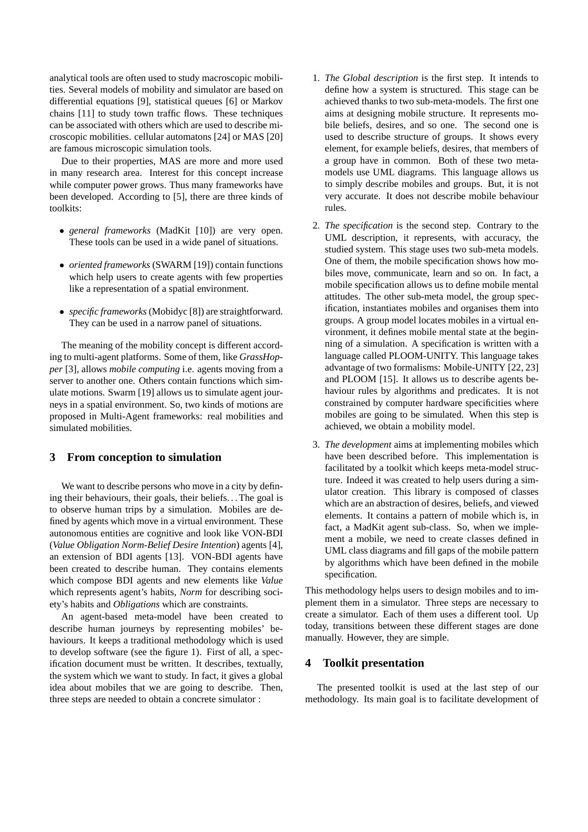analytical tools are often used to study macroscopic mobilities. Several models of mobility and simulator are based on differential equations [9], statistical queues [6] or Markov chains [11] to study town traffic flows. These techniques can be associated with others which are used to describe microscopic mobilities. cellular automatons [24] or MAS [20] are famous microscopic simulation tools.

Due to their properties, MAS are more and more used in many research area. Interest for this concept increase while computer power grows. Thus many frameworks have been developed. According to [5], there are three kinds of toolkits:

- *general frameworks* (MadKit [10]) are very open. These tools can be used in a wide panel of situations.
- *oriented frameworks* (SWARM [19]) contain functions which help users to create agents with few properties like a representation of a spatial environment.
- *specific frameworks*(Mobidyc [8]) are straightforward. They can be used in a narrow panel of situations.

The meaning of the mobility concept is different according to multi-agent platforms. Some of them, like *GrassHopper* [3], allows *mobile computing* i.e. agents moving from a server to another one. Others contain functions which simulate motions. Swarm [19] allows us to simulate agent journeys in a spatial environment. So, two kinds of motions are proposed in Multi-Agent frameworks: real mobilities and simulated mobilities.

### **3 From conception to simulation**

We want to describe persons who move in a city by defining their behaviours, their goals, their beliefs. . . The goal is to observe human trips by a simulation. Mobiles are defined by agents which move in a virtual environment. These autonomous entities are cognitive and look like VON-BDI (*Value Obligation Norm*-*Belief Desire Intention*) agents [4], an extension of BDI agents [13]. VON-BDI agents have been created to describe human. They contains elements which compose BDI agents and new elements like *Value* which represents agent's habits, *Norm* for describing society's habits and *Obligations* which are constraints.

An agent-based meta-model have been created to describe human journeys by representing mobiles' behaviours. It keeps a traditional methodology which is used to develop software (see the figure 1). First of all, a specification document must be written. It describes, textually, the system which we want to study. In fact, it gives a global idea about mobiles that we are going to describe. Then, three steps are needed to obtain a concrete simulator :

- 1. *The Global description* is the first step. It intends to define how a system is structured. This stage can be achieved thanks to two sub-meta-models. The first one aims at designing mobile structure. It represents mobile beliefs, desires, and so one. The second one is used to describe structure of groups. It shows every element, for example beliefs, desires, that members of a group have in common. Both of these two metamodels use UML diagrams. This language allows us to simply describe mobiles and groups. But, it is not very accurate. It does not describe mobile behaviour rules.
- 2. *The specification* is the second step. Contrary to the UML description, it represents, with accuracy, the studied system. This stage uses two sub-meta models. One of them, the mobile specification shows how mobiles move, communicate, learn and so on. In fact, a mobile specification allows us to define mobile mental attitudes. The other sub-meta model, the group specification, instantiates mobiles and organises them into groups. A group model locates mobiles in a virtual environment, it defines mobile mental state at the beginning of a simulation. A specification is written with a language called PLOOM-UNITY. This language takes advantage of two formalisms: Mobile-UNITY [22, 23] and PLOOM [15]. It allows us to describe agents behaviour rules by algorithms and predicates. It is not constrained by computer hardware specificities where mobiles are going to be simulated. When this step is achieved, we obtain a mobility model.
- 3. *The development* aims at implementing mobiles which have been described before. This implementation is facilitated by a toolkit which keeps meta-model structure. Indeed it was created to help users during a simulator creation. This library is composed of classes which are an abstraction of desires, beliefs, and viewed elements. It contains a pattern of mobile which is, in fact, a MadKit agent sub-class. So, when we implement a mobile, we need to create classes defined in UML class diagrams and fill gaps of the mobile pattern by algorithms which have been defined in the mobile specification.

This methodology helps users to design mobiles and to implement them in a simulator. Three steps are necessary to create a simulator. Each of them uses a different tool. Up today, transitions between these different stages are done manually. However, they are simple.

### **4 Toolkit presentation**

The presented toolkit is used at the last step of our methodology. Its main goal is to facilitate development of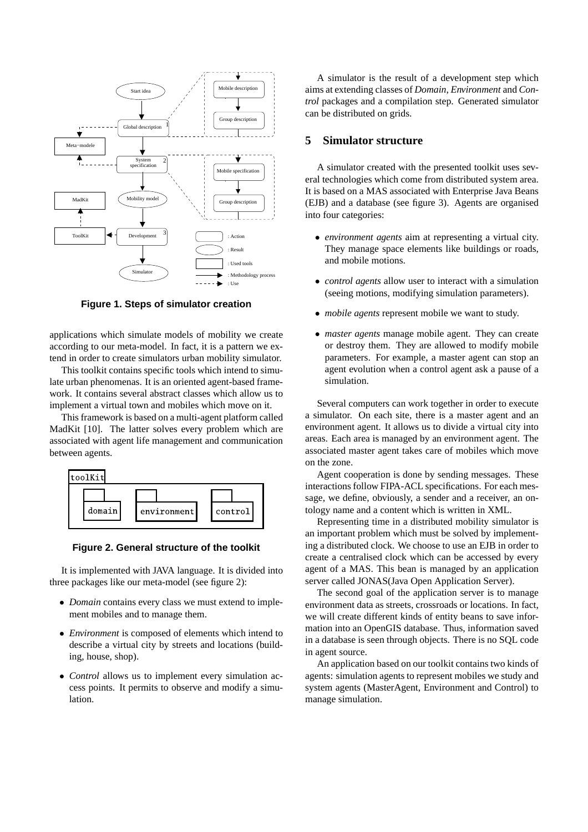

**Figure 1. Steps of simulator creation**

applications which simulate models of mobility we create according to our meta-model. In fact, it is a pattern we extend in order to create simulators urban mobility simulator.

This toolkit contains specific tools which intend to simulate urban phenomenas. It is an oriented agent-based framework. It contains several abstract classes which allow us to implement a virtual town and mobiles which move on it.

This framework is based on a multi-agent platform called MadKit [10]. The latter solves every problem which are associated with agent life management and communication between agents.

toolKit



**Figure 2. General structure of the toolkit**

It is implemented with JAVA language. It is divided into three packages like our meta-model (see figure 2):

- *Domain* contains every class we must extend to implement mobiles and to manage them.
- *Environment* is composed of elements which intend to describe a virtual city by streets and locations (building, house, shop).
- *Control* allows us to implement every simulation access points. It permits to observe and modify a simulation.

A simulator is the result of a development step which aims at extending classes of *Domain*, *Environment* and *Control* packages and a compilation step. Generated simulator can be distributed on grids.

### **5 Simulator structure**

A simulator created with the presented toolkit uses several technologies which come from distributed system area. It is based on a MAS associated with Enterprise Java Beans (EJB) and a database (see figure 3). Agents are organised into four categories:

- *environment agents* aim at representing a virtual city. They manage space elements like buildings or roads, and mobile motions.
- *control agents* allow user to interact with a simulation (seeing motions, modifying simulation parameters).
- *mobile agents* represent mobile we want to study.
- *master agents* manage mobile agent. They can create or destroy them. They are allowed to modify mobile parameters. For example, a master agent can stop an agent evolution when a control agent ask a pause of a simulation.

Several computers can work together in order to execute a simulator. On each site, there is a master agent and an environment agent. It allows us to divide a virtual city into areas. Each area is managed by an environment agent. The associated master agent takes care of mobiles which move on the zone.

Agent cooperation is done by sending messages. These interactions follow FIPA-ACL specifications. For each message, we define, obviously, a sender and a receiver, an ontology name and a content which is written in XML.

Representing time in a distributed mobility simulator is an important problem which must be solved by implementing a distributed clock. We choose to use an EJB in order to create a centralised clock which can be accessed by every agent of a MAS. This bean is managed by an application server called JONAS(Java Open Application Server).

The second goal of the application server is to manage environment data as streets, crossroads or locations. In fact, we will create different kinds of entity beans to save information into an OpenGIS database. Thus, information saved in a database is seen through objects. There is no SQL code in agent source.

An application based on our toolkit contains two kinds of agents: simulation agents to represent mobiles we study and system agents (MasterAgent, Environment and Control) to manage simulation.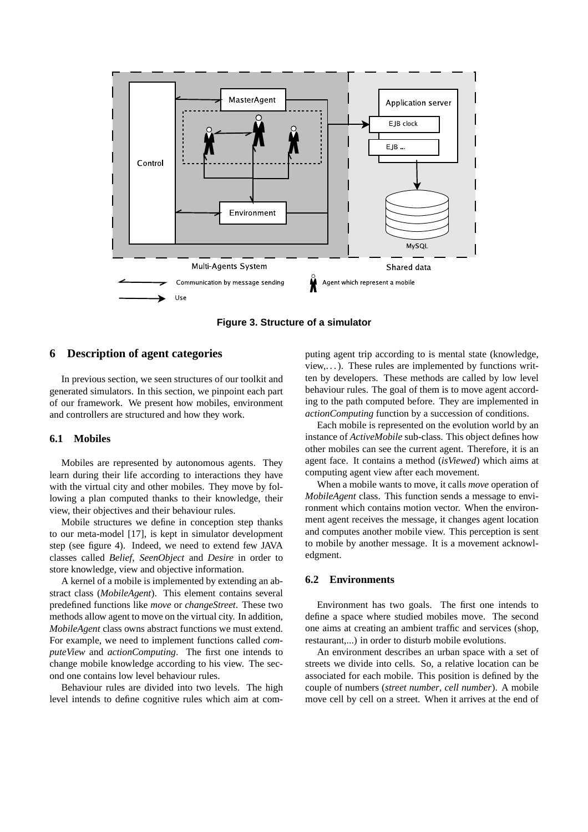

**Figure 3. Structure of a simulator**

### **6 Description of agent categories**

In previous section, we seen structures of our toolkit and generated simulators. In this section, we pinpoint each part of our framework. We present how mobiles, environment and controllers are structured and how they work.

#### **6.1 Mobiles**

Mobiles are represented by autonomous agents. They learn during their life according to interactions they have with the virtual city and other mobiles. They move by following a plan computed thanks to their knowledge, their view, their objectives and their behaviour rules.

Mobile structures we define in conception step thanks to our meta-model [17], is kept in simulator development step (see figure 4). Indeed, we need to extend few JAVA classes called *Belief*, *SeenObject* and *Desire* in order to store knowledge, view and objective information.

A kernel of a mobile is implemented by extending an abstract class (*MobileAgent*). This element contains several predefined functions like *move* or *changeStreet*. These two methods allow agent to move on the virtual city. In addition, *MobileAgent* class owns abstract functions we must extend. For example, we need to implement functions called *computeView* and *actionComputing*. The first one intends to change mobile knowledge according to his view. The second one contains low level behaviour rules.

Behaviour rules are divided into two levels. The high level intends to define cognitive rules which aim at computing agent trip according to is mental state (knowledge,  $view$ ...). These rules are implemented by functions written by developers. These methods are called by low level behaviour rules. The goal of them is to move agent according to the path computed before. They are implemented in *actionComputing* function by a succession of conditions.

Each mobile is represented on the evolution world by an instance of *ActiveMobile* sub-class. This object defines how other mobiles can see the current agent. Therefore, it is an agent face. It contains a method (*isViewed*) which aims at computing agent view after each movement.

When a mobile wants to move, it calls *move* operation of *MobileAgent* class. This function sends a message to environment which contains motion vector. When the environment agent receives the message, it changes agent location and computes another mobile view. This perception is sent to mobile by another message. It is a movement acknowledgment.

### **6.2 Environments**

Environment has two goals. The first one intends to define a space where studied mobiles move. The second one aims at creating an ambient traffic and services (shop, restaurant,...) in order to disturb mobile evolutions.

An environment describes an urban space with a set of streets we divide into cells. So, a relative location can be associated for each mobile. This position is defined by the couple of numbers (*street number*, *cell number*). A mobile move cell by cell on a street. When it arrives at the end of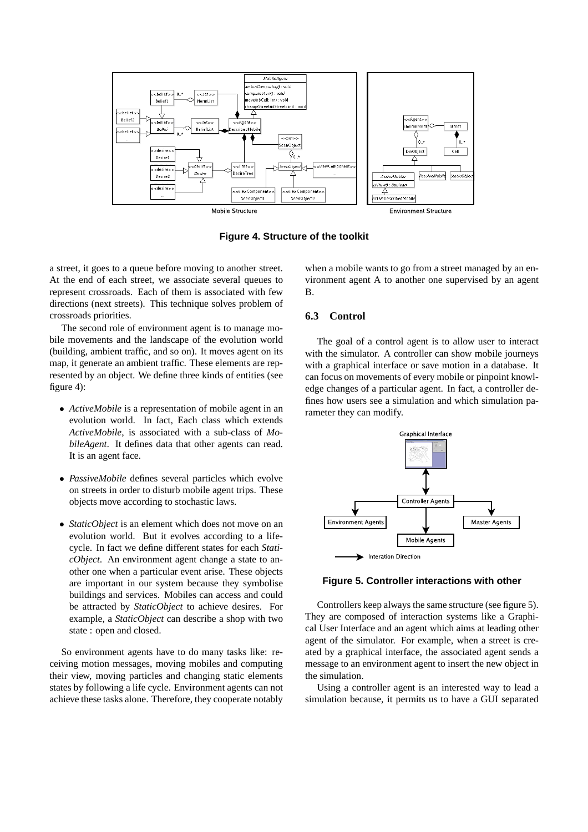

**Figure 4. Structure of the toolkit**

a street, it goes to a queue before moving to another street. At the end of each street, we associate several queues to represent crossroads. Each of them is associated with few directions (next streets). This technique solves problem of crossroads priorities.

The second role of environment agent is to manage mobile movements and the landscape of the evolution world (building, ambient traffic, and so on). It moves agent on its map, it generate an ambient traffic. These elements are represented by an object. We define three kinds of entities (see figure 4):

- *ActiveMobile* is a representation of mobile agent in an evolution world. In fact, Each class which extends *ActiveMobile*, is associated with a sub-class of *MobileAgent*. It defines data that other agents can read. It is an agent face.
- *PassiveMobile* defines several particles which evolve on streets in order to disturb mobile agent trips. These objects move according to stochastic laws.
- *StaticObject* is an element which does not move on an evolution world. But it evolves according to a lifecycle. In fact we define different states for each *StaticObject*. An environment agent change a state to another one when a particular event arise. These objects are important in our system because they symbolise buildings and services. Mobiles can access and could be attracted by *StaticObject* to achieve desires. For example, a *StaticObject* can describe a shop with two state : open and closed.

So environment agents have to do many tasks like: receiving motion messages, moving mobiles and computing their view, moving particles and changing static elements states by following a life cycle. Environment agents can not achieve these tasks alone. Therefore, they cooperate notably when a mobile wants to go from a street managed by an environment agent A to another one supervised by an agent B.

#### **6.3 Control**

The goal of a control agent is to allow user to interact with the simulator. A controller can show mobile journeys with a graphical interface or save motion in a database. It can focus on movements of every mobile or pinpoint knowledge changes of a particular agent. In fact, a controller defines how users see a simulation and which simulation parameter they can modify.



**Figure 5. Controller interactions with other**

Controllers keep always the same structure (see figure 5). They are composed of interaction systems like a Graphical User Interface and an agent which aims at leading other agent of the simulator. For example, when a street is created by a graphical interface, the associated agent sends a message to an environment agent to insert the new object in the simulation.

Using a controller agent is an interested way to lead a simulation because, it permits us to have a GUI separated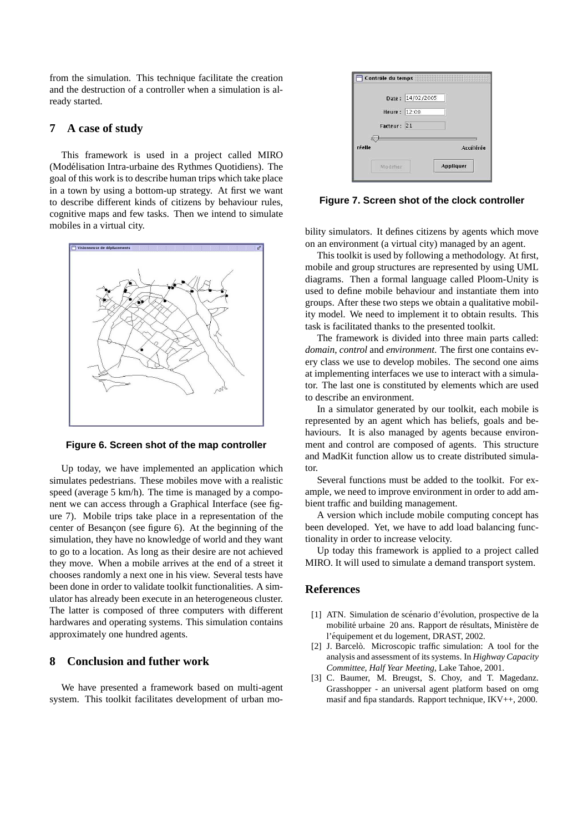from the simulation. This technique facilitate the creation and the destruction of a controller when a simulation is already started.

## **7 A case of study**

This framework is used in a project called MIRO (Modelisation Intra-urbaine des Rythmes Quotidiens). The ´ goal of this work is to describe human trips which take place in a town by using a bottom-up strategy. At first we want to describe different kinds of citizens by behaviour rules, cognitive maps and few tasks. Then we intend to simulate mobiles in a virtual city.



#### **Figure 6. Screen shot of the map controller**

Up today, we have implemented an application which simulates pedestrians. These mobiles move with a realistic speed (average 5 km/h). The time is managed by a component we can access through a Graphical Interface (see figure 7). Mobile trips take place in a representation of the center of Besançon (see figure 6). At the beginning of the simulation, they have no knowledge of world and they want to go to a location. As long as their desire are not achieved they move. When a mobile arrives at the end of a street it chooses randomly a next one in his view. Several tests have been done in order to validate toolkit functionalities. A simulator has already been execute in an heterogeneous cluster. The latter is composed of three computers with different hardwares and operating systems. This simulation contains approximately one hundred agents.

## **8 Conclusion and futher work**

We have presented a framework based on multi-agent system. This toolkit facilitates development of urban mo-

|        |              | Date: 14/02/2005 |                  |           |  |
|--------|--------------|------------------|------------------|-----------|--|
|        | Heure: 12:09 |                  |                  |           |  |
|        | Facteur: 21  |                  |                  |           |  |
| réelle |              |                  |                  | Accélérée |  |
|        | Modifier     |                  | <b>Appliquer</b> |           |  |

**Figure 7. Screen shot of the clock controller**

bility simulators. It defines citizens by agents which move on an environment (a virtual city) managed by an agent.

This toolkit is used by following a methodology. At first, mobile and group structures are represented by using UML diagrams. Then a formal language called Ploom-Unity is used to define mobile behaviour and instantiate them into groups. After these two steps we obtain a qualitative mobility model. We need to implement it to obtain results. This task is facilitated thanks to the presented toolkit.

The framework is divided into three main parts called: *domain*, *control* and *environment*. The first one contains every class we use to develop mobiles. The second one aims at implementing interfaces we use to interact with a simulator. The last one is constituted by elements which are used to describe an environment.

In a simulator generated by our toolkit, each mobile is represented by an agent which has beliefs, goals and behaviours. It is also managed by agents because environment and control are composed of agents. This structure and MadKit function allow us to create distributed simulator.

Several functions must be added to the toolkit. For example, we need to improve environment in order to add ambient traffic and building management.

A version which include mobile computing concept has been developed. Yet, we have to add load balancing functionality in order to increase velocity.

Up today this framework is applied to a project called MIRO. It will used to simulate a demand transport system.

## **References**

- [1] ATN. Simulation de scénario d'évolution, prospective de la mobilité urbaine 20 ans. Rapport de résultats, Ministère de l'équipement et du logement, DRAST, 2002.
- [2] J. Barcelò. Microscopic traffic simulation: A tool for the analysis and assessment of its systems. In *Highway Capacity Committee, Half Year Meeting*, Lake Tahoe, 2001.
- [3] C. Baumer, M. Breugst, S. Choy, and T. Magedanz. Grasshopper - an universal agent platform based on omg masif and fipa standards. Rapport technique, IKV++, 2000.